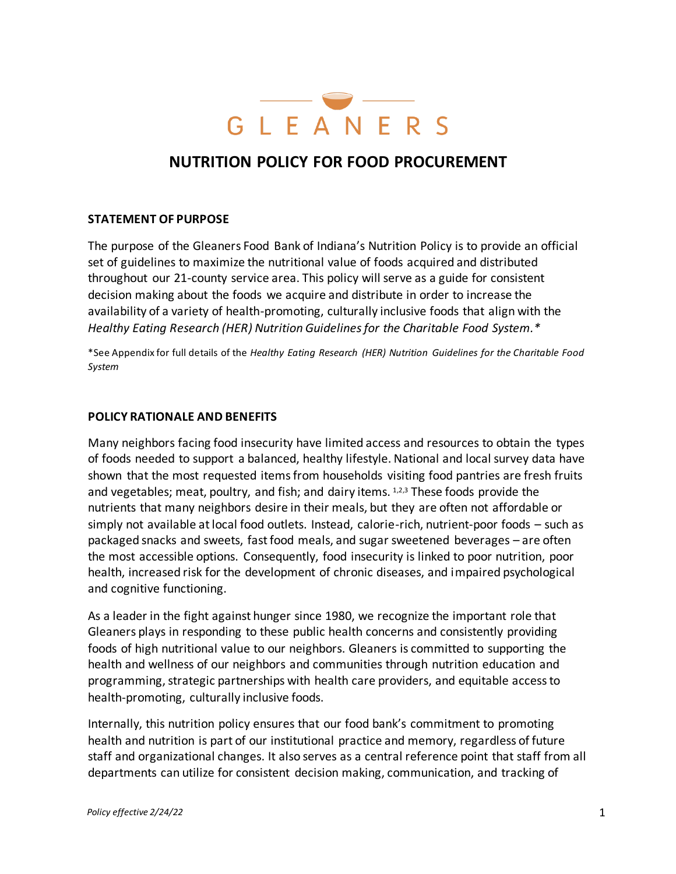

# **NUTRITION POLICY FOR FOOD PROCUREMENT**

#### **STATEMENT OF PURPOSE**

The purpose of the Gleaners Food Bank of Indiana's Nutrition Policy is to provide an official set of guidelines to maximize the nutritional value of foods acquired and distributed throughout our 21-county service area. This policy will serve as a guide for consistent decision making about the foods we acquire and distribute in order to increase the availability of a variety of health-promoting, culturally inclusive foods that align with the *Healthy Eating Research (HER) Nutrition Guidelines for the Charitable Food System.\**

\*See Appendix for full details of the *Healthy Eating Research (HER) Nutrition Guidelines for the Charitable Food System*

#### **POLICY RATIONALE AND BENEFITS**

Many neighbors facing food insecurity have limited access and resources to obtain the types of foods needed to support a balanced, healthy lifestyle. National and local survey data have shown that the most requested items from households visiting food pantries are fresh fruits and vegetables; meat, poultry, and fish; and dairy items.  $1,2,3$  These foods provide the nutrients that many neighbors desire in their meals, but they are often not affordable or simply not available at local food outlets. Instead, calorie-rich, nutrient-poor foods – such as packaged snacks and sweets, fast food meals, and sugar sweetened beverages – are often the most accessible options. Consequently, food insecurity is linked to poor nutrition, poor health, increased risk for the development of chronic diseases, and impaired psychological and cognitive functioning.

As a leader in the fight against hunger since 1980, we recognize the important role that Gleaners plays in responding to these public health concerns and consistently providing foods of high nutritional value to our neighbors. Gleaners is committed to supporting the health and wellness of our neighbors and communities through nutrition education and programming, strategic partnerships with health care providers, and equitable access to health-promoting, culturally inclusive foods.

Internally, this nutrition policy ensures that our food bank's commitment to promoting health and nutrition is part of our institutional practice and memory, regardless of future staff and organizational changes. It also serves as a central reference point that staff from all departments can utilize for consistent decision making, communication, and tracking of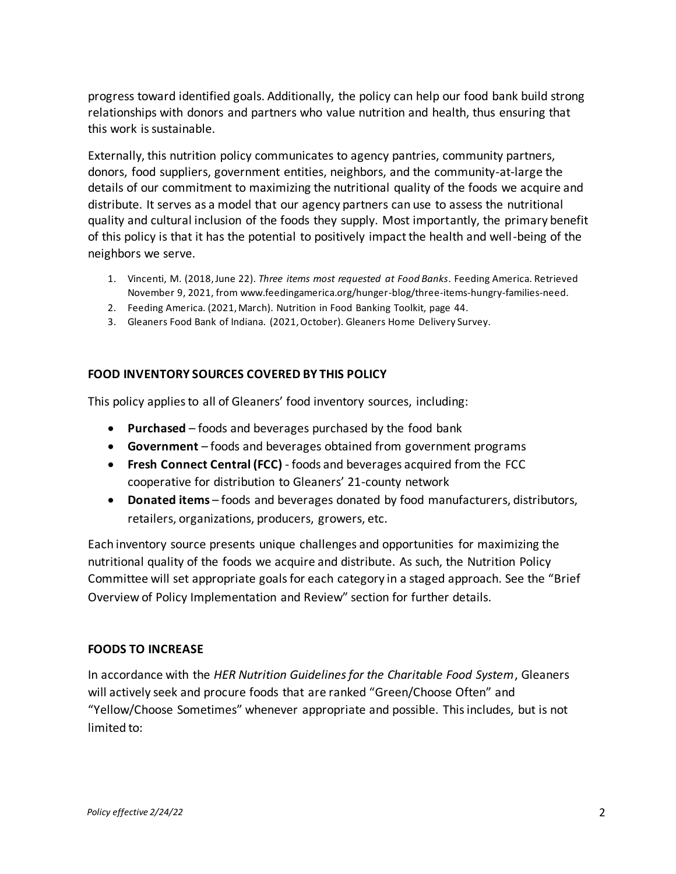progress toward identified goals. Additionally, the policy can help our food bank build strong relationships with donors and partners who value nutrition and health, thus ensuring that this work is sustainable.

Externally, this nutrition policy communicates to agency pantries, community partners, donors, food suppliers, government entities, neighbors, and the community-at-large the details of our commitment to maximizing the nutritional quality of the foods we acquire and distribute. It serves as a model that our agency partners can use to assess the nutritional quality and cultural inclusion of the foods they supply. Most importantly, the primary benefit of this policy is that it has the potential to positively impact the health and well-being of the neighbors we serve.

- 1. Vincenti, M. (2018, June 22). *Three items most requested at Food Banks*. Feeding America. Retrieved November 9, 2021, from www.feedingamerica.org/hunger-blog/three-items-hungry-families-need.
- 2. Feeding America. (2021, March). Nutrition in Food Banking Toolkit, page 44.
- 3. Gleaners Food Bank of Indiana. (2021, October). Gleaners Home Delivery Survey.

### **FOOD INVENTORY SOURCES COVERED BY THIS POLICY**

This policy applies to all of Gleaners' food inventory sources, including:

- **Purchased**  foods and beverages purchased by the food bank
- **Government**  foods and beverages obtained from government programs
- **Fresh Connect Central (FCC)**  foods and beverages acquired from the FCC cooperative for distribution to Gleaners' 21-county network
- **Donated items** foods and beverages donated by food manufacturers, distributors, retailers, organizations, producers, growers, etc.

Each inventory source presents unique challenges and opportunities for maximizing the nutritional quality of the foods we acquire and distribute. As such, the Nutrition Policy Committee will set appropriate goals for each category in a staged approach. See the "Brief Overview of Policy Implementation and Review" section for further details.

#### **FOODS TO INCREASE**

In accordance with the *HER Nutrition Guidelines for the Charitable Food System*, Gleaners will actively seek and procure foods that are ranked "Green/Choose Often" and "Yellow/Choose Sometimes" whenever appropriate and possible. This includes, but is not limited to: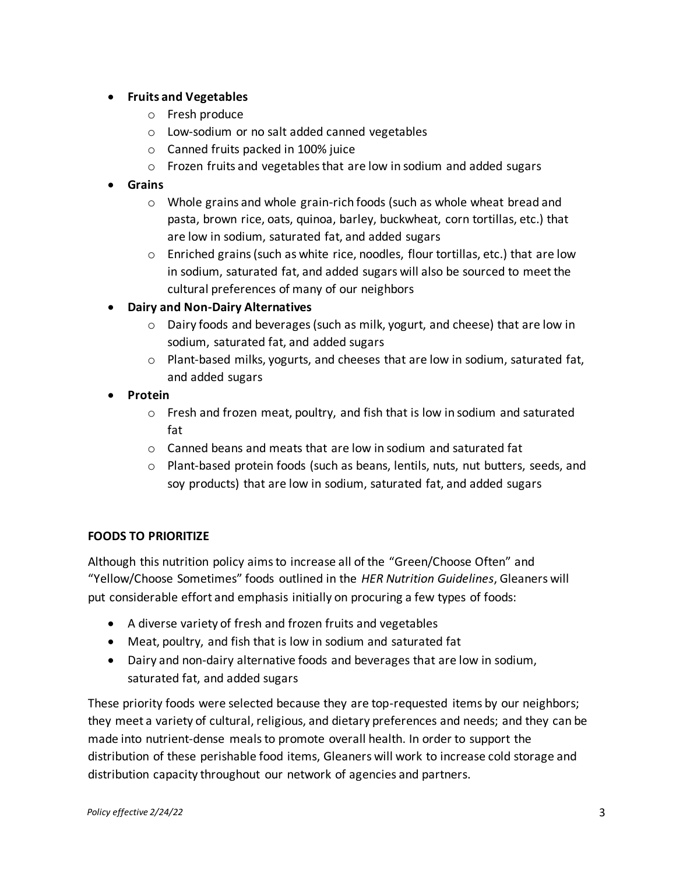### • **Fruits and Vegetables**

- o Fresh produce
- o Low-sodium or no salt added canned vegetables
- o Canned fruits packed in 100% juice
- o Frozen fruits and vegetables that are low in sodium and added sugars

### • **Grains**

- $\circ$  Whole grains and whole grain-rich foods (such as whole wheat bread and pasta, brown rice, oats, quinoa, barley, buckwheat, corn tortillas, etc.) that are low in sodium, saturated fat, and added sugars
- o Enriched grains (such as white rice, noodles, flour tortillas, etc.) that are low in sodium, saturated fat, and added sugars will also be sourced to meet the cultural preferences of many of our neighbors

## • **Dairy and Non-Dairy Alternatives**

- $\circ$  Dairy foods and beverages (such as milk, yogurt, and cheese) that are low in sodium, saturated fat, and added sugars
- $\circ$  Plant-based milks, yogurts, and cheeses that are low in sodium, saturated fat, and added sugars

### • **Protein**

- o Fresh and frozen meat, poultry, and fish that is low in sodium and saturated fat
- o Canned beans and meats that are low in sodium and saturated fat
- o Plant-based protein foods (such as beans, lentils, nuts, nut butters, seeds, and soy products) that are low in sodium, saturated fat, and added sugars

### **FOODS TO PRIORITIZE**

Although this nutrition policy aims to increase all of the "Green/Choose Often" and "Yellow/Choose Sometimes" foods outlined in the *HER Nutrition Guidelines*, Gleaners will put considerable effort and emphasis initially on procuring a few types of foods:

- A diverse variety of fresh and frozen fruits and vegetables
- Meat, poultry, and fish that is low in sodium and saturated fat
- Dairy and non-dairy alternative foods and beverages that are low in sodium, saturated fat, and added sugars

These priority foods were selected because they are top-requested items by our neighbors; they meet a variety of cultural, religious, and dietary preferences and needs; and they can be made into nutrient-dense meals to promote overall health. In order to support the distribution of these perishable food items, Gleaners will work to increase cold storage and distribution capacity throughout our network of agencies and partners.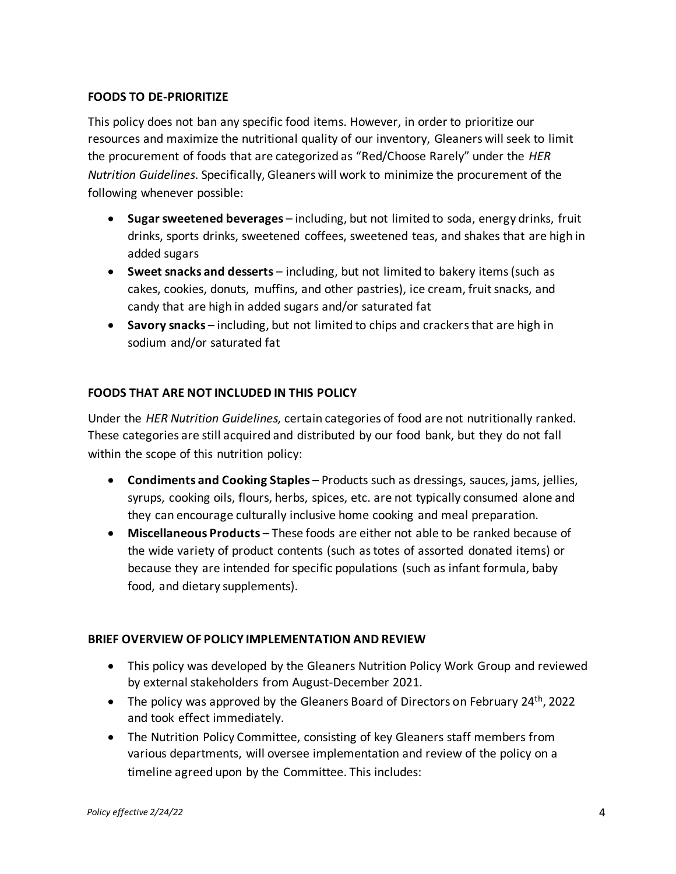### **FOODS TO DE-PRIORITIZE**

This policy does not ban any specific food items. However, in order to prioritize our resources and maximize the nutritional quality of our inventory, Gleaners will seek to limit the procurement of foods that are categorized as "Red/Choose Rarely" under the *HER Nutrition Guidelines.* Specifically, Gleaners will work to minimize the procurement of the following whenever possible:

- **Sugar sweetened beverages** including, but not limited to soda, energy drinks, fruit drinks, sports drinks, sweetened coffees, sweetened teas, and shakes that are high in added sugars
- **Sweet snacks and desserts**  including, but not limited to bakery items (such as cakes, cookies, donuts, muffins, and other pastries), ice cream, fruit snacks, and candy that are high in added sugars and/or saturated fat
- **Savory snacks**  including, but not limited to chips and crackers that are high in sodium and/or saturated fat

### **FOODS THAT ARE NOT INCLUDED IN THIS POLICY**

Under the *HER Nutrition Guidelines,* certain categories of food are not nutritionally ranked. These categories are still acquired and distributed by our food bank, but they do not fall within the scope of this nutrition policy:

- **Condiments and Cooking Staples** Products such as dressings, sauces, jams, jellies, syrups, cooking oils, flours, herbs, spices, etc. are not typically consumed alone and they can encourage culturally inclusive home cooking and meal preparation.
- **Miscellaneous Products** These foods are either not able to be ranked because of the wide variety of product contents (such as totes of assorted donated items) or because they are intended for specific populations (such as infant formula, baby food, and dietary supplements).

#### **BRIEF OVERVIEW OF POLICY IMPLEMENTATION AND REVIEW**

- This policy was developed by the Gleaners Nutrition Policy Work Group and reviewed by external stakeholders from August-December 2021.
- The policy was approved by the Gleaners Board of Directors on February 24<sup>th</sup>, 2022 and took effect immediately.
- The Nutrition Policy Committee, consisting of key Gleaners staff members from various departments, will oversee implementation and review of the policy on a timeline agreed upon by the Committee. This includes: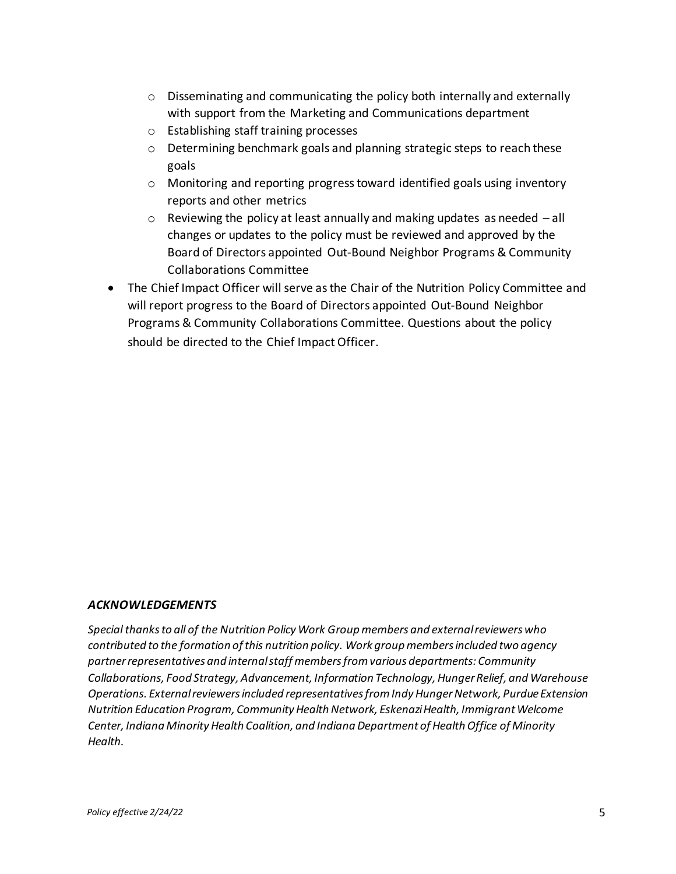- o Disseminating and communicating the policy both internally and externally with support from the Marketing and Communications department
- o Establishing staff training processes
- $\circ$  Determining benchmark goals and planning strategic steps to reach these goals
- $\circ$  Monitoring and reporting progress toward identified goals using inventory reports and other metrics
- $\circ$  Reviewing the policy at least annually and making updates as needed  $-\text{all}$ changes or updates to the policy must be reviewed and approved by the Board of Directors appointed Out-Bound Neighbor Programs & Community Collaborations Committee
- The Chief Impact Officer will serve as the Chair of the Nutrition Policy Committee and will report progress to the Board of Directors appointed Out-Bound Neighbor Programs & Community Collaborations Committee. Questions about the policy should be directed to the Chief Impact Officer.

#### *ACKNOWLEDGEMENTS*

*Special thanks to all of the Nutrition Policy Work Group members and external reviewers who contributed to the formation of this nutrition policy. Work group members included two agency partner representatives and internal staff members from various departments: Community Collaborations, Food Strategy, Advancement, Information Technology, Hunger Relief, and Warehouse Operations. External reviewers included representatives from Indy Hunger Network, Purdue Extension Nutrition Education Program, Community Health Network, Eskenazi Health, Immigrant Welcome Center, Indiana Minority Health Coalition, and Indiana Department of Health Office of Minority Health.*